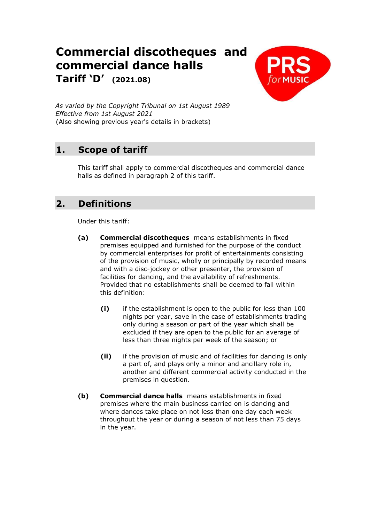# **Commercial discotheques and commercial dance halls**

**Tariff 'D' (2021.08)**



*As varied by the Copyright Tribunal on 1st August 1989 Effective from 1st August 2021* (Also showing previous year's details in brackets)

## **1. Scope of tariff**

This tariff shall apply to commercial discotheques and commercial dance halls as defined in paragraph 2 of this tariff.

## **2. Definitions**

Under this tariff:

- **(a) Commercial discotheques** means establishments in fixed premises equipped and furnished for the purpose of the conduct by commercial enterprises for profit of entertainments consisting of the provision of music, wholly or principally by recorded means and with a disc-jockey or other presenter, the provision of facilities for dancing, and the availability of refreshments. Provided that no establishments shall be deemed to fall within this definition:
	- **(i)** if the establishment is open to the public for less than 100 nights per year, save in the case of establishments trading only during a season or part of the year which shall be excluded if they are open to the public for an average of less than three nights per week of the season; or
	- **(ii)** if the provision of music and of facilities for dancing is only a part of, and plays only a minor and ancillary role in, another and different commercial activity conducted in the premises in question.
- **(b) Commercial dance halls** means establishments in fixed premises where the main business carried on is dancing and where dances take place on not less than one day each week throughout the year or during a season of not less than 75 days in the year.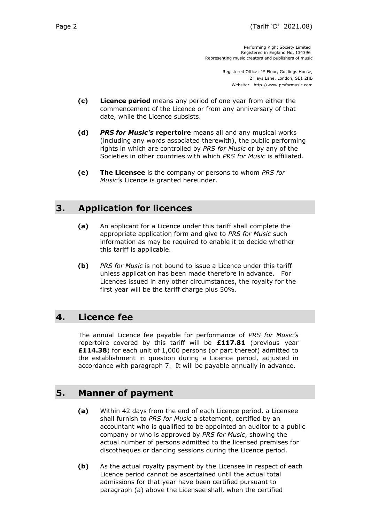Performing Right Society Limited Registered in England No**.** 134396 Representing music creators and publishers of music

> Registered Office: 1<sup>st</sup> Floor, Goldings House, 2 Hays Lane, London, SE1 2HB Website: http://www.prsformusic.com

- **(c) Licence period** means any period of one year from either the commencement of the Licence or from any anniversary of that date, while the Licence subsists.
- **(d)** *PRS for Music's* **repertoire** means all and any musical works (including any words associated therewith), the public performing rights in which are controlled by *PRS for Music* or by any of the Societies in other countries with which *PRS for Music* is affiliated.
- **(e) The Licensee** is the company or persons to whom *PRS for Music's* Licence is granted hereunder.

#### **3. Application for licences**

- **(a)** An applicant for a Licence under this tariff shall complete the appropriate application form and give to *PRS for Music* such information as may be required to enable it to decide whether this tariff is applicable.
- **(b)** *PRS for Music* is not bound to issue a Licence under this tariff unless application has been made therefore in advance. For Licences issued in any other circumstances, the royalty for the first year will be the tariff charge plus 50%.

#### **4. Licence fee**

The annual Licence fee payable for performance of *PRS for Music's* repertoire covered by this tariff will be **£117.81** (previous year **£114.38**) for each unit of 1,000 persons (or part thereof) admitted to the establishment in question during a Licence period, adjusted in accordance with paragraph 7. It will be payable annually in advance.

#### **5. Manner of payment**

- **(a)** Within 42 days from the end of each Licence period, a Licensee shall furnish to *PRS for Music* a statement, certified by an accountant who is qualified to be appointed an auditor to a public company or who is approved by *PRS for Music*, showing the actual number of persons admitted to the licensed premises for discotheques or dancing sessions during the Licence period.
- **(b)** As the actual royalty payment by the Licensee in respect of each Licence period cannot be ascertained until the actual total admissions for that year have been certified pursuant to paragraph (a) above the Licensee shall, when the certified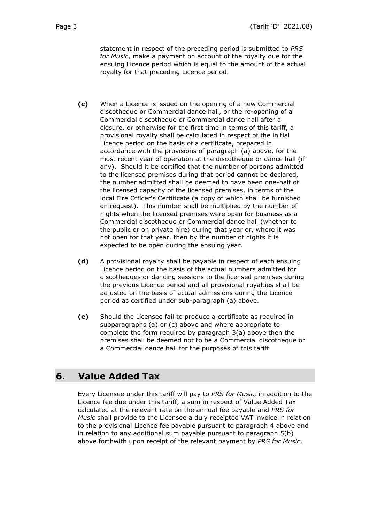statement in respect of the preceding period is submitted to *PRS for Music*, make a payment on account of the royalty due for the ensuing Licence period which is equal to the amount of the actual royalty for that preceding Licence period.

- **(c)** When a Licence is issued on the opening of a new Commercial discotheque or Commercial dance hall, or the re-opening of a Commercial discotheque or Commercial dance hall after a closure, or otherwise for the first time in terms of this tariff, a provisional royalty shall be calculated in respect of the initial Licence period on the basis of a certificate, prepared in accordance with the provisions of paragraph (a) above, for the most recent year of operation at the discotheque or dance hall (if any). Should it be certified that the number of persons admitted to the licensed premises during that period cannot be declared, the number admitted shall be deemed to have been one-half of the licensed capacity of the licensed premises, in terms of the local Fire Officer's Certificate (a copy of which shall be furnished on request). This number shall be multiplied by the number of nights when the licensed premises were open for business as a Commercial discotheque or Commercial dance hall (whether to the public or on private hire) during that year or, where it was not open for that year, then by the number of nights it is expected to be open during the ensuing year.
- **(d)** A provisional royalty shall be payable in respect of each ensuing Licence period on the basis of the actual numbers admitted for discotheques or dancing sessions to the licensed premises during the previous Licence period and all provisional royalties shall be adjusted on the basis of actual admissions during the Licence period as certified under sub-paragraph (a) above.
- **(e)** Should the Licensee fail to produce a certificate as required in subparagraphs (a) or (c) above and where appropriate to complete the form required by paragraph 3(a) above then the premises shall be deemed not to be a Commercial discotheque or a Commercial dance hall for the purposes of this tariff.

#### **6. Value Added Tax**

Every Licensee under this tariff will pay to *PRS for Music*, in addition to the Licence fee due under this tariff, a sum in respect of Value Added Tax calculated at the relevant rate on the annual fee payable and *PRS for Music* shall provide to the Licensee a duly receipted VAT invoice in relation to the provisional Licence fee payable pursuant to paragraph 4 above and in relation to any additional sum payable pursuant to paragraph 5(b) above forthwith upon receipt of the relevant payment by *PRS for Music*.